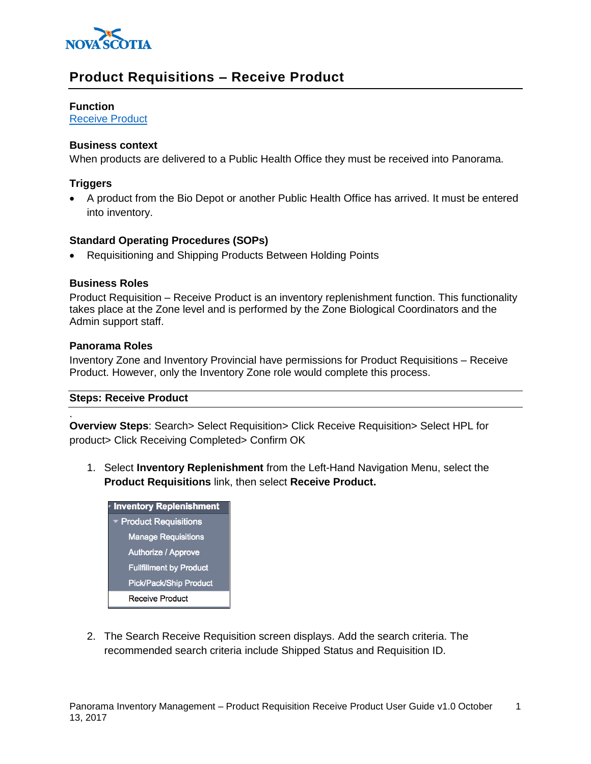

# **Product Requisitions – Receive Product**

#### **Function**

[Receive Product](#page-0-0)

#### **Business context**

When products are delivered to a Public Health Office they must be received into Panorama.

### **Triggers**

 A product from the Bio Depot or another Public Health Office has arrived. It must be entered into inventory.

#### **Standard Operating Procedures (SOPs)**

• Requisitioning and Shipping Products Between Holding Points

#### **Business Roles**

Product Requisition – Receive Product is an inventory replenishment function. This functionality takes place at the Zone level and is performed by the Zone Biological Coordinators and the Admin support staff.

#### **Panorama Roles**

.

Inventory Zone and Inventory Provincial have permissions for Product Requisitions – Receive Product. However, only the Inventory Zone role would complete this process.

#### <span id="page-0-0"></span>**Steps: Receive Product**

**Overview Steps**: Search> Select Requisition> Click Receive Requisition> Select HPL for product> Click Receiving Completed> Confirm OK

1. Select **Inventory Replenishment** from the Left-Hand Navigation Menu, select the **Product Requisitions** link, then select **Receive Product.**



2. The Search Receive Requisition screen displays. Add the search criteria. The recommended search criteria include Shipped Status and Requisition ID.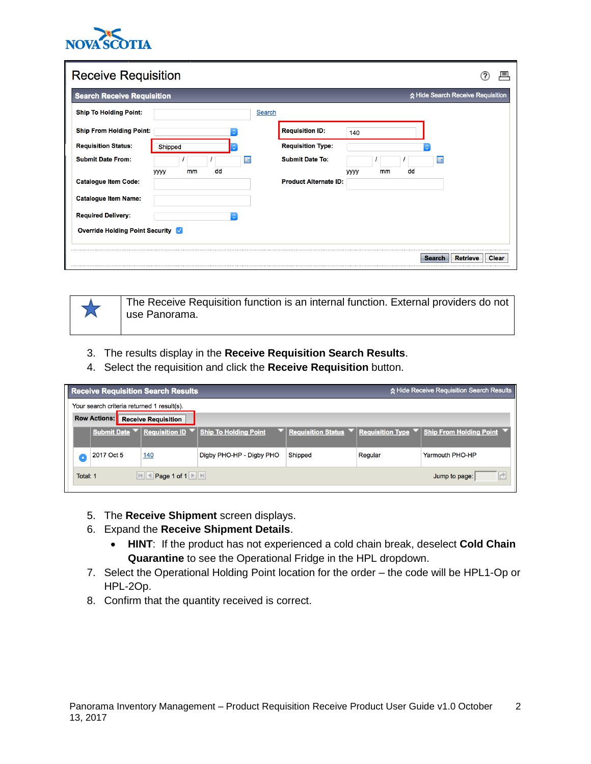

| <b>Receive Requisition</b>        |                       |               |                              |                  |                                           |
|-----------------------------------|-----------------------|---------------|------------------------------|------------------|-------------------------------------------|
| <b>Search Receive Requisition</b> |                       |               |                              |                  | A Hide Search Receive Requisition         |
| <b>Ship To Holding Point:</b>     |                       | <b>Search</b> |                              |                  |                                           |
| <b>Ship From Holding Point:</b>   |                       |               | <b>Requisition ID:</b>       | 140              |                                           |
| <b>Requisition Status:</b>        | Shipped               |               | <b>Requisition Type:</b>     |                  |                                           |
| <b>Submit Date From:</b>          | ⊞<br>dd<br>mm<br>уууу |               | <b>Submit Date To:</b>       | dd<br>уууу<br>mm | m                                         |
| <b>Catalogue Item Code:</b>       |                       |               | <b>Product Alternate ID:</b> |                  |                                           |
| <b>Catalogue Item Name:</b>       |                       |               |                              |                  |                                           |
| <b>Required Delivery:</b>         |                       |               |                              |                  |                                           |
| Override Holding Point Security V |                       |               |                              |                  |                                           |
|                                   |                       |               |                              |                  | <b>Retrieve</b><br><b>Search</b><br>Clear |



The Receive Requisition function is an internal function. External providers do not use Panorama.

- 3. The results display in the **Receive Requisition Search Results**.
- 4. Select the requisition and click the **Receive Requisition** button.

| A Hide Receive Requisition Search Results<br><b>Receive Requisition Search Results</b> |                     |                                                                      |                              |         |         |                                                                 |  |
|----------------------------------------------------------------------------------------|---------------------|----------------------------------------------------------------------|------------------------------|---------|---------|-----------------------------------------------------------------|--|
| Your search criteria returned 1 result(s).                                             |                     |                                                                      |                              |         |         |                                                                 |  |
|                                                                                        | <b>Row Actions:</b> | <b>Receive Requisition</b>                                           |                              |         |         |                                                                 |  |
|                                                                                        |                     | Submit Date $\blacktriangledown$ Requisition ID $\blacktriangledown$ | <b>Ship To Holding Point</b> |         |         | Requisition Status ▼ Requisition Type ▼ Ship From Holding Point |  |
|                                                                                        | 2017 Oct 5          | 140                                                                  | Digby PHO-HP - Digby PHO     | Shipped | Regular | Yarmouth PHO-HP                                                 |  |
| e<br>Page 1 of 1<br>Total: 1<br>Jump to page:                                          |                     |                                                                      |                              |         |         |                                                                 |  |

- 5. The **Receive Shipment** screen displays.
- 6. Expand the **Receive Shipment Details**.
	- **HINT**: If the product has not experienced a cold chain break, deselect **Cold Chain Quarantine** to see the Operational Fridge in the HPL dropdown.
- 7. Select the Operational Holding Point location for the order the code will be HPL1-Op or HPL-2Op.
- 8. Confirm that the quantity received is correct.